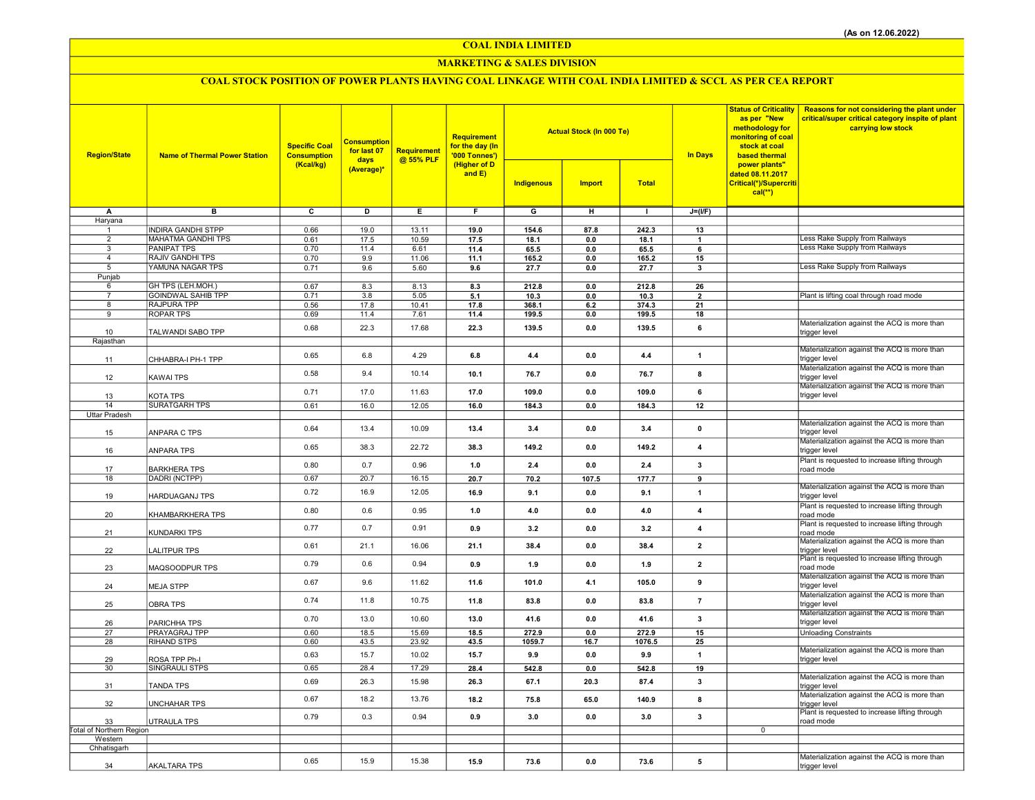COAL INDIA LIMITED

### MARKETING & SALES DIVISION

# COAL STOCK POSITION OF POWER PLANTS HAVING COAL LINKAGE WITH COAL INDIA LIMITED & SCCL AS PER CEA REPORT

| <b>Region/State</b>                 | <b>Name of Thermal Power Station</b>            | <b>Specific Coal</b><br><b>Consumption</b><br>(Kcal/kg) | <b>Consumption</b><br>for last 07<br>days<br>(Average)* | <b>Requirement</b><br>@ 55% PLF | <b>Requirement</b><br>for the day (In<br>'000 Tonnes')<br>(Higher of D<br>and $E$ ) |                | <b>Actual Stock (In 000 Te)</b> |               | <b>In Days</b>          | <b>Status of Criticality</b><br>as per "New<br>methodology for<br>monitoring of coal<br>stock at coal<br>based thermal | Reasons for not considering the plant under<br>critical/super critical category inspite of plant<br>carrying low stock |
|-------------------------------------|-------------------------------------------------|---------------------------------------------------------|---------------------------------------------------------|---------------------------------|-------------------------------------------------------------------------------------|----------------|---------------------------------|---------------|-------------------------|------------------------------------------------------------------------------------------------------------------------|------------------------------------------------------------------------------------------------------------------------|
|                                     |                                                 |                                                         |                                                         |                                 |                                                                                     | Indigenous     | <b>Import</b>                   | <b>Total</b>  |                         | power plants"<br>dated 08.11.2017<br>Critical(*)/Supercriti<br>$cal(**)$                                               |                                                                                                                        |
| $\overline{A}$                      | $\overline{B}$                                  | $\overline{c}$                                          | D                                                       | Έ                               | F                                                                                   | $\overline{G}$ | $\overline{H}$                  | T             | $J=(I/F)$               |                                                                                                                        |                                                                                                                        |
| Haryana                             |                                                 |                                                         |                                                         |                                 |                                                                                     |                |                                 |               |                         |                                                                                                                        |                                                                                                                        |
| 1<br>$\overline{2}$                 | <b>INDIRA GANDHI STPP</b><br>MAHATMA GANDHI TPS | 0.66<br>0.61                                            | 19.0<br>17.5                                            | 13.11<br>10.59                  | 19.0<br>17.5                                                                        | 154.6<br>18.1  | 87.8<br>0.0                     | 242.3<br>18.1 | 13<br>$\mathbf{1}$      |                                                                                                                        | ess Rake Supply from Railways                                                                                          |
| 3                                   | PANIPAT TPS                                     | 0.70                                                    | 11.4                                                    | 6.61                            | 11.4                                                                                | 65.5           | 0.0                             | 65.5          | 6                       |                                                                                                                        | Less Rake Supply from Railways                                                                                         |
| $\overline{4}$                      | <b>RAJIV GANDHI TPS</b>                         | 0.70                                                    | 9.9                                                     | 11.06                           | 11.1                                                                                | 165.2          | 0.0                             | 165.2         | 15                      |                                                                                                                        |                                                                                                                        |
| $5\overline{)}$                     | YAMUNA NAGAR TPS                                | 0.71                                                    | 9.6                                                     | 5.60                            | 9.6                                                                                 | 27.7           | 0.0                             | 27.7          | 3                       |                                                                                                                        | Less Rake Supply from Railways                                                                                         |
| Punjab<br>6                         | GH TPS (LEH.MOH.)                               | 0.67                                                    | 8.3                                                     | 8.13                            | 8.3                                                                                 | 212.8          | 0.0                             | 212.8         | 26                      |                                                                                                                        |                                                                                                                        |
| $\overline{7}$                      | <b>GOINDWAL SAHIB TPP</b>                       | 0.71                                                    | 3.8                                                     | 5.05                            | 5.1                                                                                 | 10.3           | 0.0                             | 10.3          | $\overline{2}$          |                                                                                                                        | Plant is lifting coal through road mode                                                                                |
| 8                                   | <b>RAJPURA TPP</b>                              | 0.56                                                    | 17.8                                                    | 10.41                           | 17.8                                                                                | 368.1          | 6.2                             | 374.3         | 21                      |                                                                                                                        |                                                                                                                        |
| $\overline{9}$                      | <b>ROPAR TPS</b>                                | 0.69                                                    | 11.4                                                    | 7.61                            | 11.4                                                                                | 199.5          | 0.0                             | 199.5         | 18                      |                                                                                                                        | Materialization against the ACQ is more than                                                                           |
| 10                                  | TALWANDI SABO TPP                               | 0.68                                                    | 22.3                                                    | 17.68                           | 22.3                                                                                | 139.5          | 0.0                             | 139.5         | 6                       |                                                                                                                        | trigger level                                                                                                          |
| Rajasthan                           |                                                 |                                                         |                                                         |                                 |                                                                                     |                |                                 |               |                         |                                                                                                                        |                                                                                                                        |
| 11                                  | CHHABRA-I PH-1 TPP                              | 0.65                                                    | 6.8                                                     | 4.29                            | 6.8                                                                                 | 4.4            | 0.0                             | 4.4           | $\mathbf{1}$            |                                                                                                                        | Materialization against the ACQ is more than<br>trigger level                                                          |
|                                     |                                                 |                                                         |                                                         |                                 |                                                                                     |                |                                 |               |                         |                                                                                                                        | Materialization against the ACQ is more than                                                                           |
| 12                                  | KAWAI TPS                                       | 0.58                                                    | 9.4                                                     | 10.14                           | 10.1                                                                                | 76.7           | 0.0                             | 76.7          | 8                       |                                                                                                                        | trigger level                                                                                                          |
| 13                                  | KOTA TPS                                        | 0.71                                                    | 17.0                                                    | 11.63                           | 17.0                                                                                | 109.0          | 0.0                             | 109.0         | 6                       |                                                                                                                        | Materialization against the ACQ is more than<br>trigger level                                                          |
| 14                                  | <b>SURATGARH TPS</b>                            | 0.61                                                    | 16.0                                                    | 12.05                           | 16.0                                                                                | 184.3          | 0.0                             | 184.3         | 12                      |                                                                                                                        |                                                                                                                        |
| Uttar Pradesh                       |                                                 |                                                         |                                                         |                                 |                                                                                     |                |                                 |               |                         |                                                                                                                        |                                                                                                                        |
| 15                                  | ANPARA C TPS                                    | 0.64                                                    | 13.4                                                    | 10.09                           | 13.4                                                                                | 3.4            | 0.0                             | 3.4           | $\pmb{0}$               |                                                                                                                        | Materialization against the ACQ is more than<br>trigger level                                                          |
| 16                                  | <b>ANPARA TPS</b>                               | 0.65                                                    | 38.3                                                    | 22.72                           | 38.3                                                                                | 149.2          | 0.0                             | 149.2         | $\overline{4}$          |                                                                                                                        | Materialization against the ACQ is more than<br>trigger level                                                          |
| 17                                  | BARKHERA TPS                                    | 0.80                                                    | 0.7                                                     | 0.96                            | 1.0                                                                                 | 2.4            | 0.0                             | 2.4           | 3                       |                                                                                                                        | Plant is requested to increase lifting through<br>road mode                                                            |
| 18                                  | DADRI (NCTPP)                                   | 0.67                                                    | 20.7                                                    | 16.15                           | 20.7                                                                                | 70.2           | 107.5                           | 177.7         | 9                       |                                                                                                                        |                                                                                                                        |
| 19                                  | HARDUAGANJ TPS                                  | 0.72                                                    | 16.9                                                    | 12.05                           | 16.9                                                                                | 9.1            | 0.0                             | 9.1           | $\mathbf{1}$            |                                                                                                                        | Materialization against the ACQ is more than<br>trigger level                                                          |
| 20                                  | KHAMBARKHERA TPS                                | 0.80                                                    | 0.6                                                     | 0.95                            | 1.0                                                                                 | 4.0            | 0.0                             | 4.0           | $\overline{4}$          |                                                                                                                        | Plant is requested to increase lifting through<br>road mode                                                            |
| 21                                  | KUNDARKI TPS                                    | 0.77                                                    | 0.7                                                     | 0.91                            | 0.9                                                                                 | 3.2            | 0.0                             | 3.2           | $\overline{\mathbf{4}}$ |                                                                                                                        | Plant is requested to increase lifting through<br>road mode                                                            |
| 22                                  | <b>LALITPUR TPS</b>                             | 0.61                                                    | 21.1                                                    | 16.06                           | 21.1                                                                                | 38.4           | 0.0                             | 38.4          | $\overline{2}$          |                                                                                                                        | Materialization against the ACQ is more than<br>trigger level                                                          |
| 23                                  | MAQSOODPUR TPS                                  | 0.79                                                    | 0.6                                                     | 0.94                            | 0.9                                                                                 | 1.9            | 0.0                             | 1.9           | $\overline{2}$          |                                                                                                                        | Plant is requested to increase lifting through<br>road mode                                                            |
| 24                                  | <b>MEJA STPP</b>                                | 0.67                                                    | 9.6                                                     | 11.62                           | 11.6                                                                                | 101.0          | 4.1                             | 105.0         | 9                       |                                                                                                                        | Materialization against the ACQ is more than<br>trigger level                                                          |
| 25                                  | <b>OBRA TPS</b>                                 | 0.74                                                    | 11.8                                                    | 10.75                           | 11.8                                                                                | 83.8           | 0.0                             | 83.8          | $\bf 7$                 |                                                                                                                        | Materialization against the ACQ is more than<br>trigger level                                                          |
| 26                                  | PARICHHA TPS                                    | 0.70                                                    | 13.0                                                    | 10.60                           | 13.0                                                                                | 41.6           | 0.0                             | 41.6          | 3                       |                                                                                                                        | Materialization against the ACQ is more than<br>trigger level                                                          |
| 27                                  | PRAYAGRAJ TPP                                   | 0.60                                                    | 18.5                                                    | 15.69                           | 18.5                                                                                | 272.9          | 0.0                             | 272.9         | 15                      |                                                                                                                        | <b>Unloading Constraints</b>                                                                                           |
| 28                                  | RIHAND STPS                                     | 0.60                                                    | 43.5                                                    | 23.92                           | 43.5                                                                                | 1059.7         | 16.7                            | 1076.5        | 25                      |                                                                                                                        | Materialization against the ACQ is more than                                                                           |
| 29                                  | ROSA TPP Ph-I                                   | 0.63                                                    | 15.7                                                    | 10.02                           | 15.7                                                                                | 9.9            | 0.0                             | 9.9           | $\mathbf{1}$            |                                                                                                                        | trigger level                                                                                                          |
| 30                                  | SINGRAULI STPS                                  | 0.65                                                    | 28.4                                                    | 17.29                           | 28.4                                                                                | 542.8          | 0.0                             | 542.8         | 19                      |                                                                                                                        |                                                                                                                        |
| 31                                  | <b>TANDA TPS</b>                                | 0.69                                                    | 26.3                                                    | 15.98                           | 26.3                                                                                | 67.1           | 20.3                            | 87.4          | 3                       |                                                                                                                        | Materialization against the ACQ is more than<br>trigger level                                                          |
| 32                                  | <b>UNCHAHAR TPS</b>                             | 0.67                                                    | 18.2                                                    | 13.76                           | 18.2                                                                                | 75.8           | 65.0                            | 140.9         | 8                       |                                                                                                                        | Materialization against the ACQ is more than<br>trigger level                                                          |
| 33                                  | UTRAULA TPS                                     | 0.79                                                    | 0.3                                                     | 0.94                            | 0.9                                                                                 | 3.0            | 0.0                             | 3.0           | 3                       |                                                                                                                        | Plant is requested to increase lifting through<br>road mode                                                            |
| Total of Northern Region<br>Western |                                                 |                                                         |                                                         |                                 |                                                                                     |                |                                 |               |                         | $\mathbf 0$                                                                                                            |                                                                                                                        |
| Chhatisgarh                         |                                                 |                                                         |                                                         |                                 |                                                                                     |                |                                 |               |                         |                                                                                                                        |                                                                                                                        |
|                                     |                                                 | 0.65                                                    | 15.9                                                    | 15.38                           | 15.9                                                                                | 73.6           | 0.0                             | 73.6          | 5                       |                                                                                                                        | Materialization against the ACQ is more than                                                                           |
| 34                                  | <b>AKALTARA TPS</b>                             |                                                         |                                                         |                                 |                                                                                     |                |                                 |               |                         |                                                                                                                        | trigger level                                                                                                          |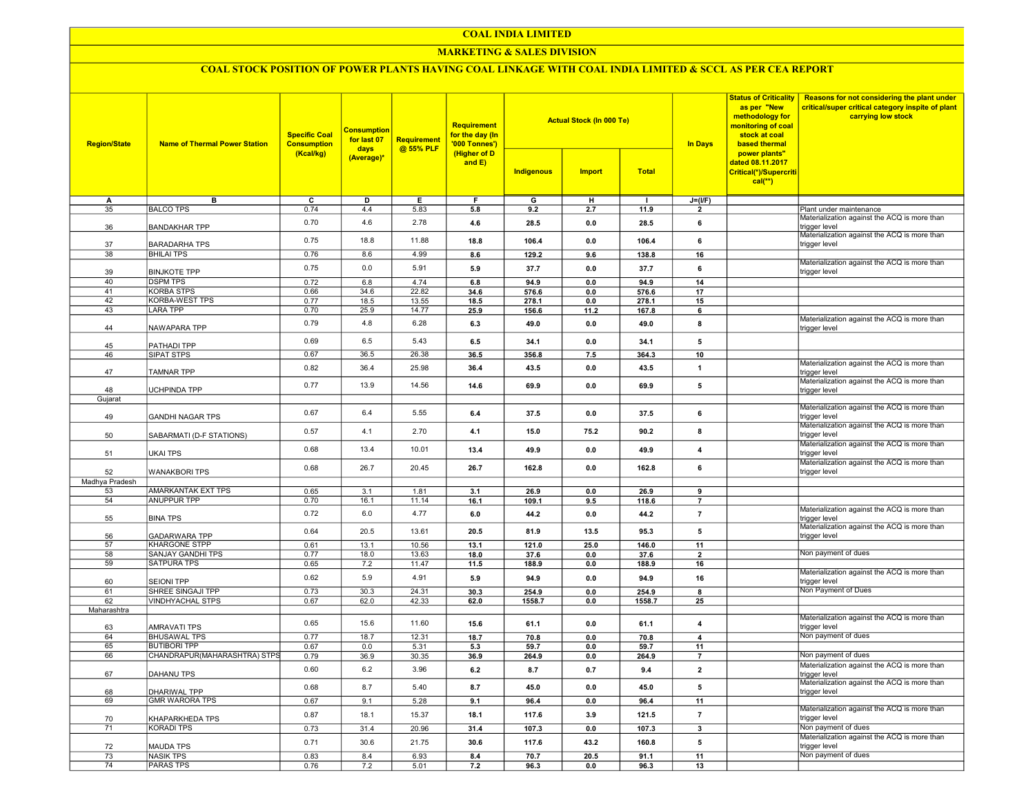### COAL INDIA LIMITED

### MARKETING & SALES DIVISION

## COAL STOCK POSITION OF POWER PLANTS HAVING COAL LINKAGE WITH COAL INDIA LIMITED & SCCL AS PER CEA REPORT

| <b>Region/State</b> | <b>Name of Thermal Power Station</b>       | <b>Specific Coal</b><br><b>Consumption</b><br>(Kcal/kg) | <b>Consumption</b><br>for last 07<br>days | <b>Requirement</b><br>@ 55% PLF | Requirement<br>for the day (In<br>'000 Tonnes')<br>(Higher of D<br>and E) |                | <b>Actual Stock (In 000 Te)</b> |                | <b>In Days</b>          | <b>Status of Criticality</b><br>as per "New<br>methodology for<br>monitoring of coal<br>stock at coal<br>based thermal | Reasons for not considering the plant under<br>critical/super critical category inspite of plant<br>carrying low stock |
|---------------------|--------------------------------------------|---------------------------------------------------------|-------------------------------------------|---------------------------------|---------------------------------------------------------------------------|----------------|---------------------------------|----------------|-------------------------|------------------------------------------------------------------------------------------------------------------------|------------------------------------------------------------------------------------------------------------------------|
|                     |                                            |                                                         | (Average)*                                |                                 |                                                                           | Indigenous     | <b>Import</b>                   | <b>Total</b>   |                         | power plants"<br>dated 08.11.2017<br>Critical(*)/Supercriti<br>$cal(**)$                                               |                                                                                                                        |
| А                   | в                                          | $\overline{c}$                                          | D                                         | Е                               | F                                                                         | $\overline{G}$ | н                               | $\mathbf{I}$   | $J=(I/F)$               |                                                                                                                        |                                                                                                                        |
| 35                  | <b>BALCO TPS</b>                           | 0.74                                                    | 4.4                                       | 5.83                            | 5.8                                                                       | 9.2            | 2.7                             | 11.9           | $\overline{2}$          |                                                                                                                        | Plant under maintenance                                                                                                |
| 36                  | <b>BANDAKHAR TPP</b>                       | 0.70                                                    | 4.6                                       | 2.78                            | 4.6                                                                       | 28.5           | 0.0                             | 28.5           | 6                       |                                                                                                                        | Materialization against the ACQ is more than<br>trigger level                                                          |
| 37                  | <b>BARADARHA TPS</b>                       | 0.75                                                    | 18.8                                      | 11.88                           | 18.8                                                                      | 106.4          | 0.0                             | 106.4          | 6                       |                                                                                                                        | Materialization against the ACQ is more than<br>trigger level                                                          |
| 38                  | <b>BHILAI TPS</b>                          | 0.76                                                    | 8.6                                       | 4.99                            | 8.6                                                                       | 129.2          | 9.6                             | 138.8          | 16                      |                                                                                                                        | Materialization against the ACQ is more than                                                                           |
| 39                  | <b>BINJKOTE TPP</b>                        | 0.75                                                    | 0.0                                       | 5.91                            | 5.9                                                                       | 37.7           | 0.0                             | 37.7           | 6                       |                                                                                                                        | trigger level                                                                                                          |
| 40                  | <b>DSPM TPS</b>                            | 0.72                                                    | 6.8                                       | 4.74                            | 6.8                                                                       | 94.9           | 0.0                             | 94.9           | 14                      |                                                                                                                        |                                                                                                                        |
| 41<br>42            | <b>KORBA STPS</b><br><b>KORBA-WEST TPS</b> | 0.66<br>0.77                                            | 34.6<br>18.5                              | 22.82<br>13.55                  | 34.6<br>18.5                                                              | 576.6<br>278.1 | 0.0<br>0.0                      | 576.6<br>278.1 | 17<br>15                |                                                                                                                        |                                                                                                                        |
| 43                  | <b>LARA TPP</b>                            | 0.70                                                    | 25.9                                      | 14.77                           | 25.9                                                                      |                | 11.2                            | 167.8          | 6                       |                                                                                                                        |                                                                                                                        |
|                     |                                            |                                                         |                                           |                                 |                                                                           | 156.6          |                                 |                |                         |                                                                                                                        | Materialization against the ACQ is more than                                                                           |
| 44                  | NAWAPARA TPP                               | 0.79                                                    | 4.8                                       | 6.28                            | 6.3                                                                       | 49.0           | 0.0                             | 49.0           | 8                       |                                                                                                                        | trigger level                                                                                                          |
| 45                  | PATHADI TPP                                | 0.69                                                    | 6.5                                       | 5.43                            | 6.5                                                                       | 34.1           | 0.0                             | 34.1           | 5                       |                                                                                                                        |                                                                                                                        |
| 46                  | <b>SIPAT STPS</b>                          | 0.67                                                    | 36.5                                      | 26.38                           | 36.5                                                                      | 356.8          | 7.5                             | 364.3          | 10                      |                                                                                                                        |                                                                                                                        |
| 47                  | <b>TAMNAR TPP</b>                          | 0.82                                                    | 36.4                                      | 25.98                           | 36.4                                                                      | 43.5           | $0.0\,$                         | 43.5           | $\overline{1}$          |                                                                                                                        | Materialization against the ACQ is more than<br>trigger level                                                          |
|                     |                                            | 0.77                                                    | 13.9                                      | 14.56                           | 14.6                                                                      | 69.9           | $0.0\,$                         | 69.9           | 5                       |                                                                                                                        | Materialization against the ACQ is more than                                                                           |
| 48                  | UCHPINDA TPP                               |                                                         |                                           |                                 |                                                                           |                |                                 |                |                         |                                                                                                                        | trigger level                                                                                                          |
| Gujarat             |                                            |                                                         |                                           |                                 |                                                                           |                |                                 |                |                         |                                                                                                                        | Materialization against the ACQ is more than                                                                           |
| 49                  | <b>GANDHI NAGAR TPS</b>                    | 0.67                                                    | 6.4                                       | 5.55                            | 6.4                                                                       | 37.5           | 0.0                             | 37.5           | 6                       |                                                                                                                        | trigger level<br>Materialization against the ACQ is more than                                                          |
| 50                  | SABARMATI (D-F STATIONS)                   | 0.57                                                    | 4.1                                       | 2.70                            | 4.1                                                                       | 15.0           | 75.2                            | 90.2           | 8                       |                                                                                                                        | trigger level                                                                                                          |
| 51                  | <b>UKAI TPS</b>                            | 0.68                                                    | 13.4                                      | 10.01                           | 13.4                                                                      | 49.9           | 0.0                             | 49.9           | $\overline{\mathbf{4}}$ |                                                                                                                        | Materialization against the ACQ is more than<br>trigger level                                                          |
| 52                  | <b>WANAKBORI TPS</b>                       | 0.68                                                    | 26.7                                      | 20.45                           | 26.7                                                                      | 162.8          | 0.0                             | 162.8          | 6                       |                                                                                                                        | Materialization against the ACQ is more than<br>trigger level                                                          |
| Madhya Pradesh      |                                            |                                                         |                                           |                                 |                                                                           |                |                                 |                |                         |                                                                                                                        |                                                                                                                        |
| 53                  | AMARKANTAK EXT TPS                         | 0.65                                                    | 3.1                                       | 1.81                            | 3.1                                                                       | 26.9           | 0.0                             | 26.9           | 9                       |                                                                                                                        |                                                                                                                        |
| 54                  | ANUPPUR TPP                                | 0.70                                                    | 16.1                                      | 11.14                           | 16.1                                                                      | 109.1          | 9.5                             | 118.6          | $\overline{7}$          |                                                                                                                        |                                                                                                                        |
| 55                  | <b>BINA TPS</b>                            | 0.72                                                    | 6.0                                       | 4.77                            | 6.0                                                                       | 44.2           | 0.0                             | 44.2           | $\overline{7}$          |                                                                                                                        | Materialization against the ACQ is more than<br>trigger level                                                          |
| 56                  | <b>GADARWARA TPP</b>                       | 0.64                                                    | 20.5                                      | 13.61                           | 20.5                                                                      | 81.9           | 13.5                            | 95.3           | 5                       |                                                                                                                        | Materialization against the ACQ is more than<br>trigger level                                                          |
| 57<br>58            | <b>KHARGONE STPP</b><br>SANJAY GANDHI TPS  | 0.61                                                    | 13.1                                      | 10.56                           | 13.1                                                                      | 121.0          | 25.0                            | 146.0          | 11                      |                                                                                                                        | Non payment of dues                                                                                                    |
| 59                  | <b>SATPURA TPS</b>                         | 0.77<br>0.65                                            | 18.0<br>7.2                               | 13.63<br>11.47                  | 18.0<br>11.5                                                              | 37.6<br>188.9  | 0.0<br>0.0                      | 37.6<br>188.9  | $\overline{2}$<br>16    |                                                                                                                        |                                                                                                                        |
| 60                  | <b>SEIONI TPP</b>                          | 0.62                                                    | 5.9                                       | 4.91                            | 5.9                                                                       | 94.9           | 0.0                             | 94.9           | 16                      |                                                                                                                        | Materialization against the ACQ is more than<br>trigger level                                                          |
| 61                  | SHREE SINGAJI TPP                          | 0.73                                                    | 30.3                                      | 24.31                           | 30.3                                                                      | 254.9          | 0.0                             | 254.9          | 8                       |                                                                                                                        | Non Payment of Dues                                                                                                    |
| 62                  | <b>VINDHYACHAL STPS</b>                    | 0.67                                                    | 62.0                                      | 42.33                           | 62.0                                                                      | 1558.7         | 0.0                             | 1558.7         | 25                      |                                                                                                                        |                                                                                                                        |
| Maharashtra         |                                            |                                                         |                                           |                                 |                                                                           |                |                                 |                |                         |                                                                                                                        |                                                                                                                        |
| 63                  | <b>AMRAVATI TPS</b>                        | 0.65                                                    | 15.6                                      | 11.60                           | 15.6                                                                      | 61.1           | 0.0                             | 61.1           | $\overline{4}$          |                                                                                                                        | Materialization against the ACQ is more than<br>trigger level                                                          |
| 64                  | <b>BHUSAWAL TPS</b>                        | 0.77                                                    | 18.7                                      | 12.31                           | 18.7                                                                      | 70.8           | 0.0                             | 70.8           | $\overline{4}$          |                                                                                                                        | Non payment of dues                                                                                                    |
| 65                  | <b>BUTIBORI TPP</b>                        | 0.67                                                    | 0.0                                       | 5.31                            | 5.3                                                                       | 59.7           | 0.0                             | 59.7           | 11                      |                                                                                                                        |                                                                                                                        |
| 66                  | CHANDRAPUR(MAHARASHTRA) STPS               | 0.79                                                    | 36.9                                      | 30.35                           | 36.9                                                                      | 264.9          | 0.0                             | 264.9          | $\overline{7}$          |                                                                                                                        | Non payment of dues                                                                                                    |
| 67                  | DAHANU TPS                                 | 0.60                                                    | 6.2                                       | 3.96                            | 6.2                                                                       | 8.7            | 0.7                             | 9.4            | $\overline{2}$          |                                                                                                                        | Materialization against the ACQ is more than<br>trigger level                                                          |
| 68                  | DHARIWAL TPP                               | 0.68                                                    | 8.7                                       | 5.40                            | 8.7                                                                       | 45.0           | 0.0                             | 45.0           | 5                       |                                                                                                                        | Materialization against the ACQ is more than<br>trigger level                                                          |
| 69                  | <b>GMR WARORA TPS</b>                      | 0.67                                                    | 9.1                                       | 5.28                            | 9.1                                                                       | 96.4           | 0.0                             | 96.4           | 11                      |                                                                                                                        |                                                                                                                        |
| 70                  | KHAPARKHEDA TPS                            | 0.87                                                    | 18.1                                      | 15.37                           | 18.1                                                                      | 117.6          | 3.9                             | 121.5          | $\overline{7}$          |                                                                                                                        | Materialization against the ACQ is more than<br>trigger level                                                          |
| 71                  | <b>KORADI TPS</b>                          | 0.73                                                    | 31.4                                      | 20.96                           | 31.4                                                                      | 107.3          | 0.0                             | 107.3          | $\overline{\mathbf{3}}$ |                                                                                                                        | Non payment of dues                                                                                                    |
| 72                  | <b>MAUDA TPS</b>                           | 0.71                                                    | 30.6                                      | 21.75                           | 30.6                                                                      | 117.6          | 43.2                            | 160.8          | 5                       |                                                                                                                        | Materialization against the ACQ is more than<br>trigger level                                                          |
| 73                  | <b>NASIK TPS</b>                           | 0.83                                                    | 8.4                                       | 6.93                            | 8.4                                                                       | 70.7           | 20.5                            | 91.1           | 11                      |                                                                                                                        | Non payment of dues                                                                                                    |
| 74                  | <b>PARAS TPS</b>                           | 0.76                                                    | 7.2                                       | 5.01                            | 7.2                                                                       | 96.3           | $0.0\,$                         | 96.3           | 13                      |                                                                                                                        |                                                                                                                        |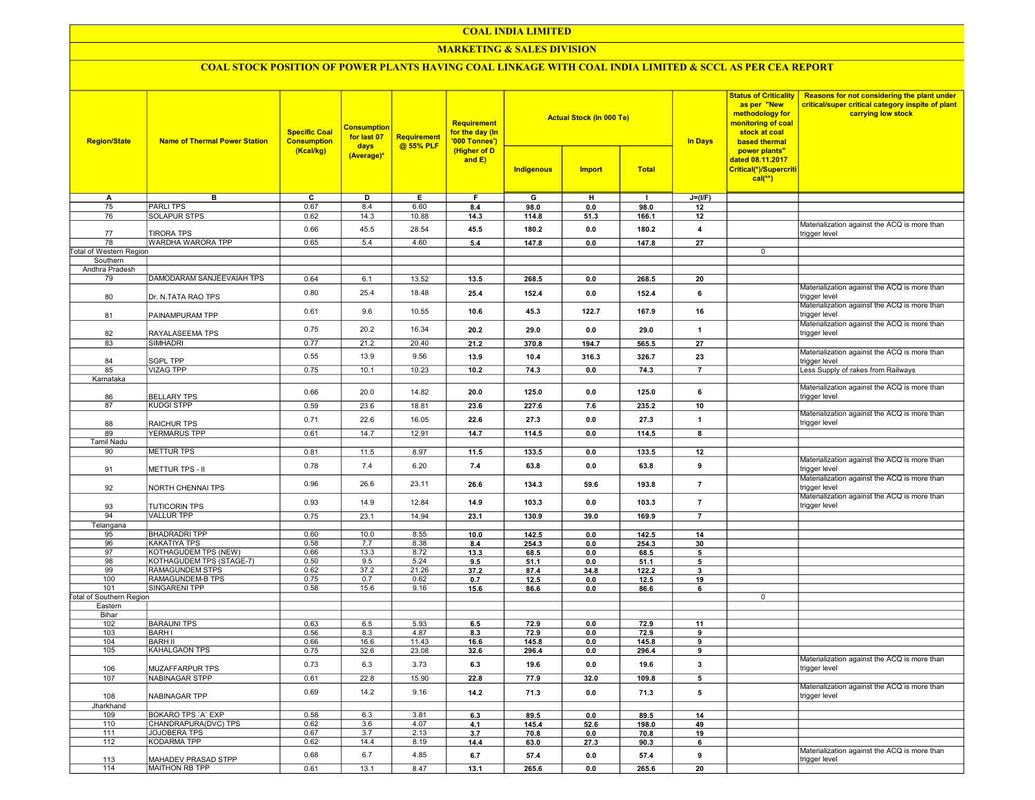## COAL INDIA LIMITED

## **MARKETING & SALES DIVISION**

# COAL STOCK POSITION OF POWER PLANTS HAVING COAL LINKAGE WITH COAL INDIA LIMITED & SCCL AS PER CEA REPORT

| <b>Region/State</b>             | <b>Name of Thermal Power Station</b> | <b>Specific Coal</b><br><b>Consumption</b><br>(Kcal/kg) | <b>Consumption</b><br>for last 07<br>days<br>(Average)* | <b>Requirement</b><br>@ 55% PLF | <b>Requirement</b><br>for the day (In<br>'000 Tonnes')<br>(Higher of D<br>and $E$ ) |                | <b>Actual Stock (In 000 Te)</b> |                | <b>In Days</b>          | <b>Status of Criticality</b><br>as per "New<br>methodology for<br>monitoring of coal<br>stock at coal<br>based thermal<br>power plants"<br>dated 08.11.2017<br>Critical(*)/Supercriti<br>$cal(**)$ | Reasons for not considering the plant under<br>critical/super critical category inspite of plant<br>carrying low stock |
|---------------------------------|--------------------------------------|---------------------------------------------------------|---------------------------------------------------------|---------------------------------|-------------------------------------------------------------------------------------|----------------|---------------------------------|----------------|-------------------------|----------------------------------------------------------------------------------------------------------------------------------------------------------------------------------------------------|------------------------------------------------------------------------------------------------------------------------|
|                                 |                                      |                                                         |                                                         |                                 |                                                                                     | Indigenous     | <b>Import</b>                   | <b>Total</b>   |                         |                                                                                                                                                                                                    |                                                                                                                        |
| A                               | в                                    | C                                                       | D                                                       | Е.                              | F.                                                                                  | G              | н                               | $\mathbf{I}$   | $J=(I/F)$               |                                                                                                                                                                                                    |                                                                                                                        |
| 75                              | <b>PARLITPS</b>                      | 0.67                                                    | 8.4                                                     | 6.60                            | 8.4                                                                                 | 98.0           | 0.0                             | 98.0           | 12                      |                                                                                                                                                                                                    |                                                                                                                        |
| 76                              | <b>SOLAPUR STPS</b>                  | 0.62                                                    | 14.3                                                    | 10.88                           | 14.3                                                                                | 114.8          | 51.3                            | 166.1          | 12                      |                                                                                                                                                                                                    |                                                                                                                        |
| 77                              | <b>TIRORA TPS</b>                    | 0.66                                                    | 45.5                                                    | 28.54                           | 45.5                                                                                | 180.2          | 0.0                             | 180.2          | 4                       |                                                                                                                                                                                                    | Materialization against the ACQ is more than<br>trigger level                                                          |
| 78                              | WARDHA WARORA TPP                    | 0.65                                                    | 5.4                                                     | 4.60                            | 5.4                                                                                 | 147.8          | 0.0                             | 147.8          | 27                      |                                                                                                                                                                                                    |                                                                                                                        |
| Total of Western Region         |                                      |                                                         |                                                         |                                 |                                                                                     |                |                                 |                |                         | 0                                                                                                                                                                                                  |                                                                                                                        |
| Southern                        |                                      |                                                         |                                                         |                                 |                                                                                     |                |                                 |                |                         |                                                                                                                                                                                                    |                                                                                                                        |
| Andhra Pradesh                  |                                      |                                                         |                                                         |                                 |                                                                                     |                |                                 |                |                         |                                                                                                                                                                                                    |                                                                                                                        |
| 79                              | DAMODARAM SANJEEVAIAH TPS            | 0.64                                                    | 6.1                                                     | 13.52                           | 13.5                                                                                | 268.5          | 0.0                             | 268.5          | 20                      |                                                                                                                                                                                                    |                                                                                                                        |
|                                 |                                      |                                                         |                                                         |                                 |                                                                                     |                |                                 |                |                         |                                                                                                                                                                                                    | Materialization against the ACQ is more than                                                                           |
| 80                              | Dr. N.TATA RAO TPS                   | 0.80                                                    | 25.4                                                    | 18.48                           | 25.4                                                                                | 152.4          | 0.0                             | 152.4          | 6                       |                                                                                                                                                                                                    | trigger level                                                                                                          |
| 81                              | PAINAMPURAM TPP                      | 0.61                                                    | 9.6                                                     | 10.55                           | 10.6                                                                                | 45.3           | 122.7                           | 167.9          | 16                      |                                                                                                                                                                                                    | Materialization against the ACQ is more than<br>trigger level                                                          |
| 82                              | RAYALASEEMA TPS                      | 0.75                                                    | 20.2                                                    | 16.34                           | 20.2                                                                                | 29.0           | 0.0                             | 29.0           | $\overline{\mathbf{1}}$ |                                                                                                                                                                                                    | Materialization against the ACQ is more than<br>trigger level                                                          |
| 83                              | <b>SIMHADRI</b>                      | 0.77                                                    | 21.2                                                    | 20.40                           | 21.2                                                                                | 370.8          | 194.7                           | 565.5          | 27                      |                                                                                                                                                                                                    |                                                                                                                        |
|                                 |                                      | 0.55                                                    | 13.9                                                    | 9.56                            | 13.9                                                                                | 10.4           | 316.3                           | 326.7          | 23                      |                                                                                                                                                                                                    | Materialization against the ACQ is more than                                                                           |
| 84                              | <b>SGPL TPP</b>                      |                                                         |                                                         |                                 |                                                                                     |                |                                 |                |                         |                                                                                                                                                                                                    | trigger level                                                                                                          |
| 85                              | <b>VIZAG TPP</b>                     | 0.75                                                    | 10.1                                                    | 10.23                           | 10.2                                                                                | 74.3           | 0.0                             | 74.3           | $\overline{7}$          |                                                                                                                                                                                                    | Less Supply of rakes from Railways                                                                                     |
| Karnataka                       |                                      |                                                         |                                                         |                                 |                                                                                     |                |                                 |                |                         |                                                                                                                                                                                                    |                                                                                                                        |
| 86                              | <b>BELLARY TPS</b>                   | 0.66                                                    | 20.0                                                    | 14.82                           | 20.0                                                                                | 125.0          | 0.0                             | 125.0          | 6                       |                                                                                                                                                                                                    | Materialization against the ACQ is more than<br>trigger level                                                          |
| 87                              | <b>KUDGI STPP</b>                    | 0.59                                                    | 23.6                                                    | 18.81                           | 23.6                                                                                | 227.6          | 7.6                             | 235.2          | 10                      |                                                                                                                                                                                                    |                                                                                                                        |
| 88                              | <b>RAICHUR TPS</b>                   | 0.71                                                    | 22.6                                                    | 16.05                           | 22.6                                                                                | 27.3           | 0.0                             | 27.3           | $\overline{1}$          |                                                                                                                                                                                                    | Materialization against the ACQ is more than<br>trigger level                                                          |
| 89                              | <b>YERMARUS TPP</b>                  | 0.61                                                    | 14.7                                                    | 12.91                           | 14.7                                                                                | 114.5          | 0.0                             | 114.5          | 8                       |                                                                                                                                                                                                    |                                                                                                                        |
| <b>Tamil Nadu</b>               |                                      |                                                         |                                                         |                                 |                                                                                     |                |                                 |                |                         |                                                                                                                                                                                                    |                                                                                                                        |
| 90                              | <b>METTUR TPS</b>                    | 0.81                                                    | 11.5                                                    | 8.97                            | 11.5                                                                                | 133.5          | 0.0                             | 133.5          | 12                      |                                                                                                                                                                                                    |                                                                                                                        |
|                                 |                                      |                                                         |                                                         |                                 |                                                                                     |                |                                 |                |                         |                                                                                                                                                                                                    | Materialization against the ACQ is more than                                                                           |
| 91                              | <b>METTUR TPS - II</b>               | 0.78                                                    | 7.4                                                     | 6.20                            | 7.4                                                                                 | 63.8           | 0.0                             | 63.8           | 9                       |                                                                                                                                                                                                    | trigger level                                                                                                          |
| 92                              | NORTH CHENNAI TPS                    | 0.96                                                    | 26.6                                                    | 23.11                           | 26.6                                                                                | 134.3          | 59.6                            | 193.8          | $\overline{7}$          |                                                                                                                                                                                                    | Materialization against the ACQ is more than<br>trigger level                                                          |
| 93                              | <b>TUTICORIN TPS</b>                 | 0.93                                                    | 14.9                                                    | 12.84                           | 14.9                                                                                | 103.3          | 0.0                             | 103.3          | $\overline{7}$          |                                                                                                                                                                                                    | Materialization against the ACQ is more than<br>trigger level                                                          |
| 94                              | <b>VALLUR TPP</b>                    | 0.75                                                    | 23.1                                                    | 14.94                           | 23.1                                                                                | 130.9          | 39.0                            | 169.9          | $\overline{7}$          |                                                                                                                                                                                                    |                                                                                                                        |
| Telangana                       |                                      |                                                         |                                                         |                                 |                                                                                     |                |                                 |                |                         |                                                                                                                                                                                                    |                                                                                                                        |
| 95                              | <b>BHADRADRI TPP</b>                 | 0.60                                                    | 10.0                                                    | 8.55                            | 10.0                                                                                | 142.5          | 0.0                             | 142.5          | 14                      |                                                                                                                                                                                                    |                                                                                                                        |
| 96                              | <b>KAKATIYA TPS</b>                  | 0.58                                                    | 7.7                                                     | 8.38                            | 8.4                                                                                 | 254.3          | 0.0                             | 254.3          | 30                      |                                                                                                                                                                                                    |                                                                                                                        |
| 97                              | KOTHAGUDEM TPS (NEW)                 | 0.66                                                    | 13.3                                                    | 8.72                            | 13.3                                                                                | 68.5           | 0.0                             | 68.5           | 5                       |                                                                                                                                                                                                    |                                                                                                                        |
| 98                              | KOTHAGUDEM TPS (STAGE-7)             | 0.50                                                    | 9.5                                                     | 5.24                            | 9.5                                                                                 | 51.1           | 0.0                             | 51.1           | 5                       |                                                                                                                                                                                                    |                                                                                                                        |
| 99                              | RAMAGUNDEM STPS                      | 0.62                                                    | 37.2                                                    | 21.26                           | 37.2                                                                                | 87.4           | 34.8                            | 122.2          | 3                       |                                                                                                                                                                                                    |                                                                                                                        |
| 100                             | RAMAGUNDEM-B TPS                     | 0.75                                                    | 0.7                                                     | 0.62                            | 0.7                                                                                 | 12.5           | 0.0                             | 12.5           | 19                      |                                                                                                                                                                                                    |                                                                                                                        |
| 101                             | SINGARENI TPP                        | 0.58                                                    | 15.6                                                    | 9.16                            | 15.6                                                                                | 86.6           | 0.0                             | 86.6           | 6                       |                                                                                                                                                                                                    |                                                                                                                        |
| <b>Total of Southern Region</b> |                                      |                                                         |                                                         |                                 |                                                                                     |                |                                 |                |                         | 0                                                                                                                                                                                                  |                                                                                                                        |
| Eastern                         |                                      |                                                         |                                                         |                                 |                                                                                     |                |                                 |                |                         |                                                                                                                                                                                                    |                                                                                                                        |
| Bihar                           |                                      |                                                         |                                                         |                                 |                                                                                     |                |                                 |                |                         |                                                                                                                                                                                                    |                                                                                                                        |
| 102                             | <b>BARAUNI TPS</b>                   | 0.63                                                    | 6.5                                                     | 5.93                            | 6.5                                                                                 | 72.9           | 0.0                             | 72.9           | 11                      |                                                                                                                                                                                                    |                                                                                                                        |
| 103                             | <b>BARH I</b><br><b>BARH II</b>      | 0.56                                                    | 8.3<br>16.6                                             | 4.87                            | 8.3                                                                                 | 72.9           | 0.0                             | 72.9           | 9                       |                                                                                                                                                                                                    |                                                                                                                        |
| 104<br>105                      | KAHALGAON TPS                        | 0.66<br>0.75                                            | 32.6                                                    | 11.43<br>23.08                  | 16.6<br>32.6                                                                        | 145.8<br>296.4 | 0.0<br>0.0                      | 145.8<br>296.4 | 9<br>9                  |                                                                                                                                                                                                    |                                                                                                                        |
|                                 |                                      |                                                         |                                                         |                                 |                                                                                     |                |                                 |                |                         |                                                                                                                                                                                                    | Materialization against the ACQ is more than                                                                           |
| 106                             | <b>MUZAFFARPUR TPS</b>               | 0.73                                                    | 6.3                                                     | 3.73                            | 6.3                                                                                 | 19.6           | 0.0                             | 19.6           | 3                       |                                                                                                                                                                                                    | trigger level                                                                                                          |
| 107                             | NABINAGAR STPP                       | 0.61                                                    | 22.8                                                    | 15.90                           | 22.8                                                                                | 77.9           | 32.0                            | 109.8          | 5                       |                                                                                                                                                                                                    |                                                                                                                        |
| 108                             | <b>NABINAGAR TPP</b>                 | 0.69                                                    | 14.2                                                    | 9.16                            | 14.2                                                                                | 71.3           | 0.0                             | 71.3           | 5                       |                                                                                                                                                                                                    | Materialization against the ACQ is more than<br>trigger level                                                          |
| Jharkhand                       |                                      |                                                         |                                                         |                                 |                                                                                     |                |                                 |                |                         |                                                                                                                                                                                                    |                                                                                                                        |
| 109                             | BOKARO TPS 'A' EXP                   | 0.58                                                    | 6.3                                                     | 3.81                            | 6.3                                                                                 | 89.5           | 0.0                             | 89.5           | 14                      |                                                                                                                                                                                                    |                                                                                                                        |
| 110                             | CHANDRAPURA(DVC) TPS                 | 0.62                                                    | 3.6                                                     | 4.07                            | 4.1                                                                                 | 145.4          | 52.6                            | 198.0          | 49                      |                                                                                                                                                                                                    |                                                                                                                        |
| 111                             | JOJOBERA TPS                         | 0.67                                                    | 3.7                                                     | 2.13                            | 3.7                                                                                 | 70.8           | 0.0                             | 70.8           | 19                      |                                                                                                                                                                                                    |                                                                                                                        |
| 112                             | <b>KODARMA TPP</b>                   | 0.62                                                    | 14.4                                                    | 8.19                            | 14.4                                                                                | 63.0           | 27.3                            | 90.3           | 6                       |                                                                                                                                                                                                    |                                                                                                                        |
| 113                             | MAHADEV PRASAD STPP                  | 0.68                                                    | 6.7                                                     | 4.85                            | 6.7                                                                                 | 57.4           | 0.0                             | 57.4           | 9                       |                                                                                                                                                                                                    | Materialization against the ACQ is more than<br>trigger level                                                          |
| 114                             | <b>MAITHON RB TPP</b>                | 0.61                                                    | 13.1                                                    | 8.47                            | 13.1                                                                                | 265.6          | 0.0                             | 265.6          | 20                      |                                                                                                                                                                                                    |                                                                                                                        |